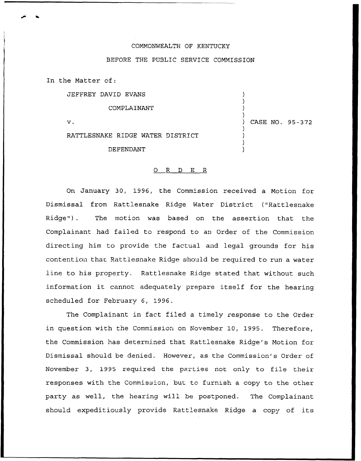## COMMONWEALTH OF KENTUCKY

## BEFORE THE PUBLIC SERVICE COMMISSION

In the Matter of:

JEFFREY DAVID EVANS

COMPLAINANT

 $\mathbf{v}$ .

RATTLESNAKE RIDGE WATER DISTRICT

DEFENDANT

## 0 R <sup>D</sup> E R

On January 30, 1996, the Comm'ssion received a Motion for Dismissal from Rattlesnake Ridge Water District ("Rattlesnake Ridge"). The motion was based on the assertion that the Complainant had failed to respond to an Order of the Commission directing him to provide the factual and legal grounds for his contention thac Rattlesnake Ridge should be required to run a water line to his property. Rattlesnake Ridge stated tnat without such information it cannot adequately prepare itself for the hearing scheduled for February 6, 1996.

The Complainant in fact filed a timely response to the Order in question with the Commission on November 10, 1995. Therefore, the Commission has determined that Rattlesnake Ridge's Motion for Dismissal should be denied. However, as the Commission's Order of November 3, 1995 required the parties not only to file their responses with the Commission, but to furnish a copy to the other party as well, the hearing will be postponed. The Complainant should expeditiously provide Rattlesnake Ridge a copy of its

) CASE NO. 95-372

) ) ) )

) ) ) )